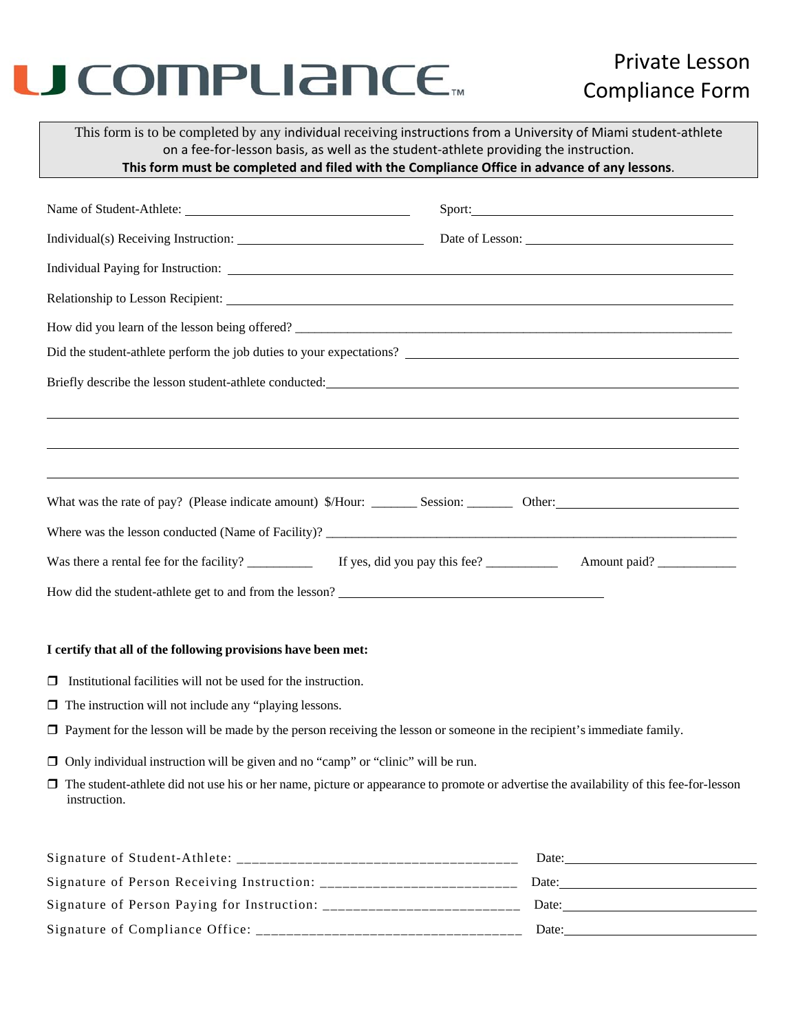# U COMPLIANCE.

### Private Lesson Compliance Form

This form is to be completed by any individual receiving instructions from a University of Miami student‐athlete on a fee‐for‐lesson basis, as well as the student‐athlete providing the instruction. **This form must be completed and filed with the Compliance Office in advance of any lessons**.

### Name of Student-Athlete: Sport: Sport: Individual(s) Receiving Instruction: Date of Lesson: Individual Paying for Instruction: Relationship to Lesson Recipient: How did you learn of the lesson being offered? \_\_\_\_\_\_\_\_\_\_\_\_\_\_\_\_\_\_\_\_\_\_\_\_\_\_\_\_\_\_\_\_\_\_\_\_\_\_\_\_\_\_\_\_\_\_\_\_\_\_\_\_\_\_\_\_\_\_\_\_\_\_\_\_\_\_\_ Did the student-athlete perform the job duties to your expectations? \_\_\_\_\_\_\_\_\_\_\_\_ Briefly describe the lesson student-athlete conducted:

| What was the rate of pay? (Please indicate amount) \$/Hour: | Session:                      | Other:       |  |
|-------------------------------------------------------------|-------------------------------|--------------|--|
| Where was the lesson conducted (Name of Facility)?          |                               |              |  |
| Was there a rental fee for the facility?                    | If yes, did you pay this fee? | Amount paid? |  |

How did the student-athlete get to and from the lesson?<br>
<u>Lesson</u> 2

#### **I certify that all of the following provisions have been met:**

- $\Box$  Institutional facilities will not be used for the instruction.
- $\Box$  The instruction will not include any "playing lessons.
- $\Box$  Payment for the lesson will be made by the person receiving the lesson or someone in the recipient's immediate family.
- $\Box$  Only individual instruction will be given and no "camp" or "clinic" will be run.
- $\Box$  The student-athlete did not use his or her name, picture or appearance to promote or advertise the availability of this fee-for-lesson instruction.

| Signature of Student-Athlete:               | Date: |
|---------------------------------------------|-------|
| Signature of Person Receiving Instruction:  | Date: |
| Signature of Person Paying for Instruction: | Date: |
| Signature of Compliance Office:             | Date: |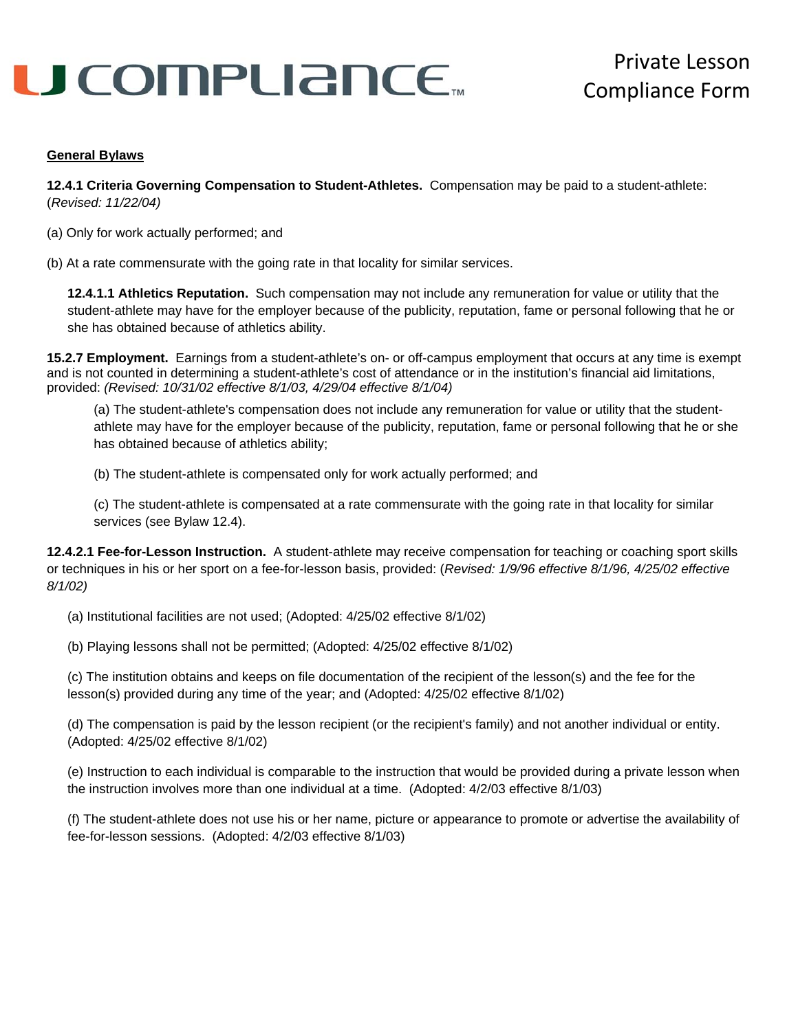# U COMPLIANCE.

#### **General Bylaws**

**12.4.1 Criteria Governing Compensation to Student-Athletes.** Compensation may be paid to a student-athlete: (*Revised: 11/22/04)*

(a) Only for work actually performed; and

(b) At a rate commensurate with the going rate in that locality for similar services.

**12.4.1.1 Athletics Reputation.** Such compensation may not include any remuneration for value or utility that the student-athlete may have for the employer because of the publicity, reputation, fame or personal following that he or she has obtained because of athletics ability.

**15.2.7 Employment.** Earnings from a student-athlete's on- or off-campus employment that occurs at any time is exempt and is not counted in determining a student-athlete's cost of attendance or in the institution's financial aid limitations, provided: *(Revised: 10/31/02 effective 8/1/03, 4/29/04 effective 8/1/04)*

(a) The student-athlete's compensation does not include any remuneration for value or utility that the studentathlete may have for the employer because of the publicity, reputation, fame or personal following that he or she has obtained because of athletics ability;

(b) The student-athlete is compensated only for work actually performed; and

(c) The student-athlete is compensated at a rate commensurate with the going rate in that locality for similar services (see Bylaw 12.4).

**12.4.2.1 Fee-for-Lesson Instruction.** A student-athlete may receive compensation for teaching or coaching sport skills or techniques in his or her sport on a fee-for-lesson basis, provided: (*Revised: 1/9/96 effective 8/1/96, 4/25/02 effective 8/1/02)* 

(a) Institutional facilities are not used; (Adopted: 4/25/02 effective 8/1/02)

(b) Playing lessons shall not be permitted; (Adopted: 4/25/02 effective 8/1/02)

(c) The institution obtains and keeps on file documentation of the recipient of the lesson(s) and the fee for the lesson(s) provided during any time of the year; and (Adopted: 4/25/02 effective 8/1/02)

(d) The compensation is paid by the lesson recipient (or the recipient's family) and not another individual or entity. (Adopted: 4/25/02 effective 8/1/02)

(e) Instruction to each individual is comparable to the instruction that would be provided during a private lesson when the instruction involves more than one individual at a time. (Adopted: 4/2/03 effective 8/1/03)

(f) The student-athlete does not use his or her name, picture or appearance to promote or advertise the availability of fee-for-lesson sessions. (Adopted: 4/2/03 effective 8/1/03)